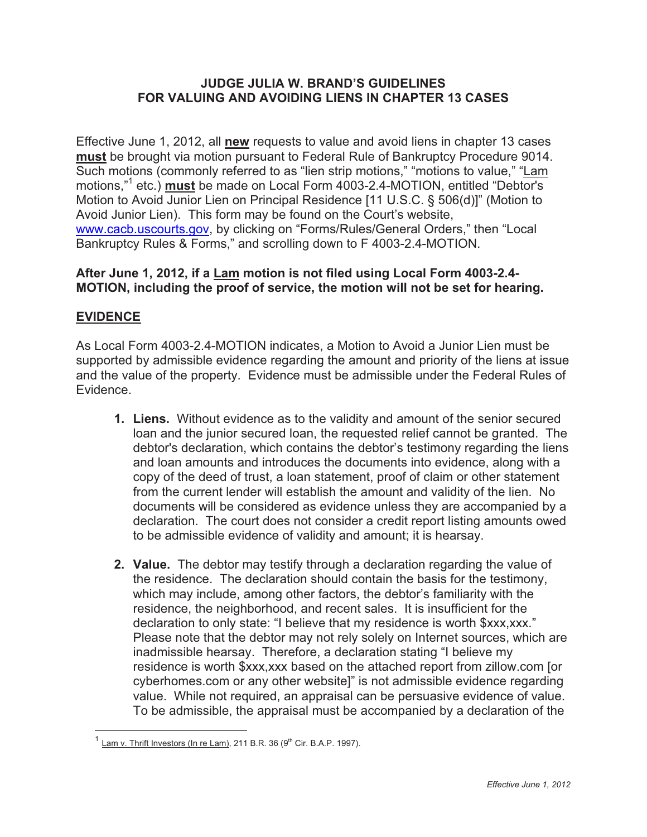#### **JUDGE JULIA W. BRAND'S GUIDELINES FOR VALUING AND AVOIDING LIENS IN CHAPTER 13 CASES**

Effective June 1, 2012, all **new** requests to value and avoid liens in chapter 13 cases **must** be brought via motion pursuant to Federal Rule of Bankruptcy Procedure 9014. Such motions (commonly referred to as "lien strip motions," "motions to value," "Lam motions,"1 etc.) **must** be made on Local Form 4003-2.4-MOTION, entitled "Debtor's Motion to Avoid Junior Lien on Principal Residence [11 U.S.C. § 506(d)]" (Motion to Avoid Junior Lien). This form may be found on the Court's website, www.cacb.uscourts.gov, by clicking on "Forms/Rules/General Orders," then "Local Bankruptcy Rules & Forms," and scrolling down to F 4003-2.4-MOTION.

### **After June 1, 2012, if a Lam motion is not filed using Local Form 4003-2.4- MOTION, including the proof of service, the motion will not be set for hearing.**

## **EVIDENCE**

As Local Form 4003-2.4-MOTION indicates, a Motion to Avoid a Junior Lien must be supported by admissible evidence regarding the amount and priority of the liens at issue and the value of the property. Evidence must be admissible under the Federal Rules of Evidence.

- **1. Liens.** Without evidence as to the validity and amount of the senior secured loan and the junior secured loan, the requested relief cannot be granted. The debtor's declaration, which contains the debtor's testimony regarding the liens and loan amounts and introduces the documents into evidence, along with a copy of the deed of trust, a loan statement, proof of claim or other statement from the current lender will establish the amount and validity of the lien. No documents will be considered as evidence unless they are accompanied by a declaration. The court does not consider a credit report listing amounts owed to be admissible evidence of validity and amount; it is hearsay.
- **2. Value.** The debtor may testify through a declaration regarding the value of the residence. The declaration should contain the basis for the testimony, which may include, among other factors, the debtor's familiarity with the residence, the neighborhood, and recent sales. It is insufficient for the declaration to only state: "I believe that my residence is worth \$xxx,xxx." Please note that the debtor may not rely solely on Internet sources, which are inadmissible hearsay. Therefore, a declaration stating "I believe my residence is worth \$xxx,xxx based on the attached report from zillow.com [or cyberhomes.com or any other website]" is not admissible evidence regarding value. While not required, an appraisal can be persuasive evidence of value. To be admissible, the appraisal must be accompanied by a declaration of the

 $\overline{a}$  $^1$  Lam v. Thrift Investors (In re Lam), 211 B.R. 36 (9<sup>th</sup> Cir. B.A.P. 1997).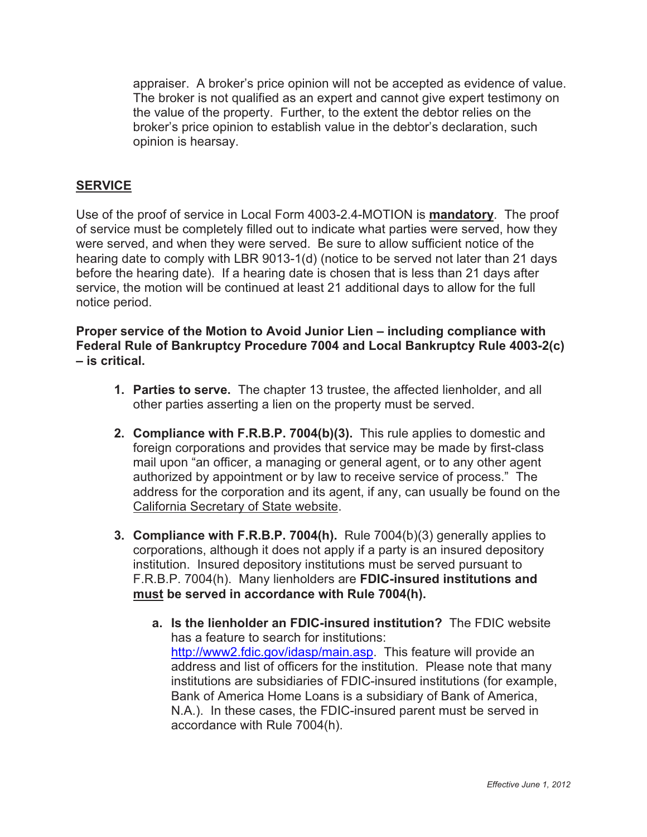appraiser. A broker's price opinion will not be accepted as evidence of value. The broker is not qualified as an expert and cannot give expert testimony on the value of the property. Further, to the extent the debtor relies on the broker's price opinion to establish value in the debtor's declaration, such opinion is hearsay.

### **SERVICE**

Use of the proof of service in Local Form 4003-2.4-MOTION is **mandatory**. The proof of service must be completely filled out to indicate what parties were served, how they were served, and when they were served. Be sure to allow sufficient notice of the hearing date to comply with LBR 9013-1(d) (notice to be served not later than 21 days before the hearing date). If a hearing date is chosen that is less than 21 days after service, the motion will be continued at least 21 additional days to allow for the full notice period.

**Proper service of the Motion to Avoid Junior Lien – including compliance with Federal Rule of Bankruptcy Procedure 7004 and Local Bankruptcy Rule 4003-2(c) – is critical.** 

- **1. Parties to serve.** The chapter 13 trustee, the affected lienholder, and all other parties asserting a lien on the property must be served.
- **2. Compliance with F.R.B.P. 7004(b)(3).** This rule applies to domestic and foreign corporations and provides that service may be made by first-class mail upon "an officer, a managing or general agent, or to any other agent authorized by appointment or by law to receive service of process." The address for the corporation and its agent, if any, can usually be found on the California Secretary of State website.
- **3. Compliance with F.R.B.P. 7004(h).** Rule 7004(b)(3) generally applies to corporations, although it does not apply if a party is an insured depository institution. Insured depository institutions must be served pursuant to F.R.B.P. 7004(h). Many lienholders are **FDIC-insured institutions and must be served in accordance with Rule 7004(h).**
	- **a. Is the lienholder an FDIC-insured institution?** The FDIC website has a feature to search for institutions: http://www2.fdic.gov/idasp/main.asp. This feature will provide an address and list of officers for the institution. Please note that many institutions are subsidiaries of FDIC-insured institutions (for example, Bank of America Home Loans is a subsidiary of Bank of America, N.A.). In these cases, the FDIC-insured parent must be served in accordance with Rule 7004(h).